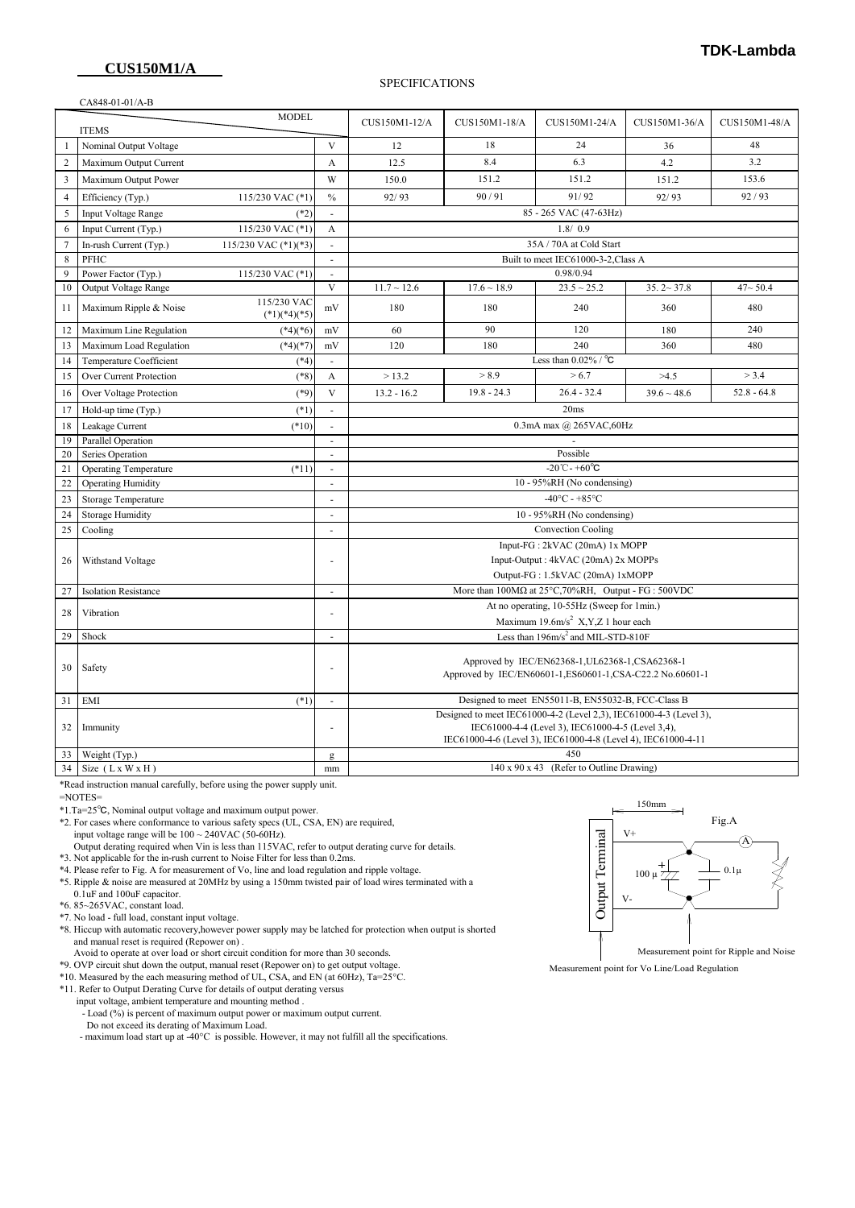### **CUS150M1/A**

### **TDK-Lambda**

#### SPECIFICATIONS

|                | CA848-01-01/A-B              |                               |                                |                                                                                                                                                                                          |                  |                  |                  |               |
|----------------|------------------------------|-------------------------------|--------------------------------|------------------------------------------------------------------------------------------------------------------------------------------------------------------------------------------|------------------|------------------|------------------|---------------|
| <b>MODEL</b>   |                              |                               |                                | CUS150M1-12/A                                                                                                                                                                            | CUS150M1-18/A    | CUS150M1-24/A    | CUS150M1-36/A    | CUS150M1-48/A |
|                | <b>ITEMS</b>                 |                               |                                |                                                                                                                                                                                          |                  |                  |                  |               |
| $\mathbf{1}$   | Nominal Output Voltage       |                               | $\mathbf{V}$                   | 12                                                                                                                                                                                       | 18               | 24               | 36               | 48            |
| $\overline{2}$ | Maximum Output Current       |                               | A                              | 12.5                                                                                                                                                                                     | 8.4              | 6.3              | 4.2              | 3.2           |
| $\overline{3}$ | Maximum Output Power         |                               | W                              | 150.0                                                                                                                                                                                    | 151.2            | 151.2            | 151.2            | 153.6         |
| $\overline{4}$ | Efficiency (Typ.)            | 115/230 VAC (*1)              | $\frac{0}{0}$                  | 92/93                                                                                                                                                                                    | 90/91            | 91/92            | 92/93            | 92/93         |
| 5              | Input Voltage Range          | $(*2)$                        |                                | 85 - 265 VAC (47-63Hz)                                                                                                                                                                   |                  |                  |                  |               |
| 6              | Input Current (Typ.)         | 115/230 VAC (*1)              | A                              | 1.8/0.9                                                                                                                                                                                  |                  |                  |                  |               |
| $\overline{7}$ | In-rush Current (Typ.)       | 115/230 VAC $(*1)(*3)$        | L.                             | 35A / 70A at Cold Start                                                                                                                                                                  |                  |                  |                  |               |
| 8              | PFHC                         |                               | ÷,                             | Built to meet IEC61000-3-2, Class A                                                                                                                                                      |                  |                  |                  |               |
| 9              | Power Factor (Typ.)          | 115/230 VAC (*1)              |                                |                                                                                                                                                                                          | 0.98/0.94        |                  |                  |               |
| 10             | Output Voltage Range         |                               | $\mathbf{V}$                   | $11.7 \sim 12.6$                                                                                                                                                                         | $17.6 \sim 18.9$ | $23.5 \sim 25.2$ | $35.2 - 37.8$    | $47 - 50.4$   |
| 11             | Maximum Ripple & Noise       | 115/230 VAC<br>$(*1)(*4)(*5)$ | mV                             | 180                                                                                                                                                                                      | 180              | 240              | 360              | 480           |
| 12             | Maximum Line Regulation      | $(*4)(*6)$                    | $\rm mV$                       | 60                                                                                                                                                                                       | 90               | 120              | 180              | 240           |
| 13             | Maximum Load Regulation      | $(*4)(*7)$                    | mV                             | 120                                                                                                                                                                                      | 180              | 240              | 360              | 480           |
| 14             | Temperature Coefficient      | $(*4)$                        | $\sim$                         | Less than $0.02\%$ / $^{\circ}$ C                                                                                                                                                        |                  |                  |                  |               |
| 15             | Over Current Protection      | $(*8)$                        | А                              | >13.2                                                                                                                                                                                    | > 8.9            | > 6.7            | >4.5             | > 3.4         |
| 16             | Over Voltage Protection      | $(*9)$                        | $\mathbf{V}$                   | $13.2 - 16.2$                                                                                                                                                                            | $19.8 - 24.3$    | $26.4 - 32.4$    | $39.6 \sim 48.6$ | $52.8 - 64.8$ |
| 17             | Hold-up time (Typ.)          | $(*1)$                        |                                | 20ms                                                                                                                                                                                     |                  |                  |                  |               |
| 18             | Leakage Current              | $(*10)$                       | ä,                             | 0.3mA max @ 265VAC,60Hz                                                                                                                                                                  |                  |                  |                  |               |
| 19             | Parallel Operation           |                               | ÷,                             |                                                                                                                                                                                          |                  |                  |                  |               |
| 20             | Series Operation             |                               | ÷.                             | Possible                                                                                                                                                                                 |                  |                  |                  |               |
| 21             | <b>Operating Temperature</b> | $(*11)$                       | ÷,                             | -20 $^{\circ}$ C - +60 $^{\circ}$ C                                                                                                                                                      |                  |                  |                  |               |
| 22             | <b>Operating Humidity</b>    |                               |                                | 10 - 95%RH (No condensing)                                                                                                                                                               |                  |                  |                  |               |
| 23             | <b>Storage Temperature</b>   |                               | L.                             | $-40^{\circ}$ C - +85°C                                                                                                                                                                  |                  |                  |                  |               |
| 24             | <b>Storage Humidity</b>      |                               | $\overline{a}$                 | 10 - 95%RH (No condensing)                                                                                                                                                               |                  |                  |                  |               |
| 25             | Cooling                      |                               | $\overline{\phantom{a}}$       | Convection Cooling                                                                                                                                                                       |                  |                  |                  |               |
|                |                              |                               | Input-FG: 2kVAC (20mA) 1x MOPP |                                                                                                                                                                                          |                  |                  |                  |               |
| 26             | Withstand Voltage            |                               | ÷,                             | Input-Output: 4kVAC (20mA) 2x MOPPs                                                                                                                                                      |                  |                  |                  |               |
|                |                              |                               |                                | Output-FG: 1.5kVAC (20mA) 1xMOPP                                                                                                                                                         |                  |                  |                  |               |
| 27             | <b>Isolation Resistance</b>  |                               | ÷,                             | More than $100M\Omega$ at $25^{\circ}$ C, 70%RH, Output - FG : 500VDC                                                                                                                    |                  |                  |                  |               |
| 28             | Vibration                    |                               |                                | At no operating, 10-55Hz (Sweep for 1min.)                                                                                                                                               |                  |                  |                  |               |
|                |                              |                               |                                | Maximum 19.6m/s <sup>2</sup> X,Y,Z 1 hour each                                                                                                                                           |                  |                  |                  |               |
| 29             | Shock                        |                               | ÷,                             | Less than 196m/s <sup>2</sup> and MIL-STD-810F                                                                                                                                           |                  |                  |                  |               |
| 30             | Safety                       |                               | ÷,                             | Approved by IEC/EN62368-1, UL62368-1, CSA62368-1<br>Approved by IEC/EN60601-1,ES60601-1,CSA-C22.2 No.60601-1                                                                             |                  |                  |                  |               |
| 31             | EMI                          | $(*1)$                        |                                | Designed to meet EN55011-B, EN55032-B, FCC-Class B                                                                                                                                       |                  |                  |                  |               |
| 32             | Immunity                     |                               | ÷,                             | Designed to meet IEC61000-4-2 (Level 2,3), IEC61000-4-3 (Level 3),<br>IEC61000-4-4 (Level 3), IEC61000-4-5 (Level 3,4),<br>IEC61000-4-6 (Level 3), IEC61000-4-8 (Level 4), IEC61000-4-11 |                  |                  |                  |               |
| 33             | Weight (Typ.)                |                               | g                              | 450                                                                                                                                                                                      |                  |                  |                  |               |
| 34             | Size $(LxWXH)$               |                               | mm                             | 140 x 90 x 43 (Refer to Outline Drawing)                                                                                                                                                 |                  |                  |                  |               |

\*Read instruction manual carefully, before using the power supply unit.

=NOTES=

\*1.Ta=25℃, Nominal output voltage and maximum output power.

\*2. For cases where conformance to various safety specs (UL, CSA, EN) are required,

input voltage range will be  $100 \sim 240 \text{VAC}$  (50-60Hz).

 Output derating required when Vin is less than 115VAC, refer to output derating curve for details. \*3. Not applicable for the in-rush current to Noise Filter for less than 0.2ms.

\*4. Please refer to Fig. A for measurement of Vo, line and load regulation and ripple voltage.

 \*5. Ripple & noise are measured at 20MHz by using a 150mm twisted pair of load wires terminated with a 0.1uF and 100uF capacitor.

\*6. 85~265VAC, constant load.

\*7. No load - full load, constant input voltage.

 \*8. Hiccup with automatic recovery,however power supply may be latched for protection when output is shorted and manual reset is required (Repower on) .

Avoid to operate at over load or short circuit condition for more than 30 seconds.

\*9. OVP circuit shut down the output, manual reset (Repower on) to get output voltage.

\*10. Measured by the each measuring method of UL, CSA, and EN (at 60Hz), Ta=25°C.

\*11. Refer to Output Derating Curve for details of output derating versus

input voltage, ambient temperature and mounting method .

- Load (%) is percent of maximum output power or maximum output current.

Do not exceed its derating of Maximum Load.

- maximum load start up at -40°C is possible. However, it may not fulfill all the specifications.



Measurement point for Vo Line/Load Regulation